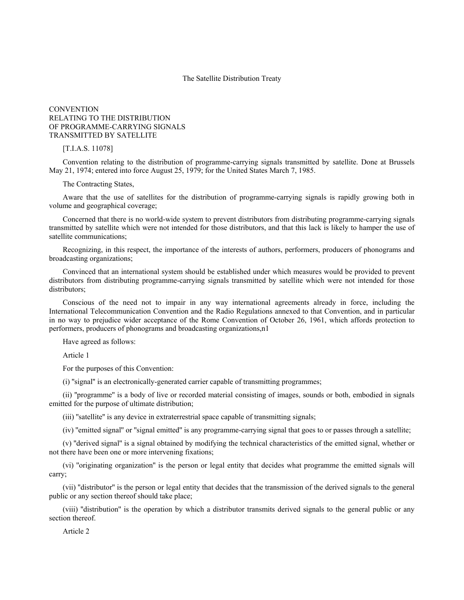## The Satellite Distribution Treaty

# **CONVENTION** RELATING TO THE DISTRIBUTION OF PROGRAMME-CARRYING SIGNALS TRANSMITTED BY SATELLITE

### [T.I.A.S. 11078]

Convention relating to the distribution of programme-carrying signals transmitted by satellite. Done at Brussels May 21, 1974; entered into force August 25, 1979; for the United States March 7, 1985.

## The Contracting States,

Aware that the use of satellites for the distribution of programme-carrying signals is rapidly growing both in volume and geographical coverage;

Concerned that there is no world-wide system to prevent distributors from distributing programme-carrying signals transmitted by satellite which were not intended for those distributors, and that this lack is likely to hamper the use of satellite communications;

Recognizing, in this respect, the importance of the interests of authors, performers, producers of phonograms and broadcasting organizations;

Convinced that an international system should be established under which measures would be provided to prevent distributors from distributing programme-carrying signals transmitted by satellite which were not intended for those distributors:

Conscious of the need not to impair in any way international agreements already in force, including the International Telecommunication Convention and the Radio Regulations annexed to that Convention, and in particular in no way to prejudice wider acceptance of the Rome Convention of October 26, 1961, which affords protection to performers, producers of phonograms and broadcasting organizations,n1

Have agreed as follows:

Article 1

For the purposes of this Convention:

(i) ''signal'' is an electronically-generated carrier capable of transmitting programmes;

(ii) ''programme'' is a body of live or recorded material consisting of images, sounds or both, embodied in signals emitted for the purpose of ultimate distribution;

(iii) ''satellite'' is any device in extraterrestrial space capable of transmitting signals;

(iv) ''emitted signal'' or ''signal emitted'' is any programme-carrying signal that goes to or passes through a satellite;

(v) ''derived signal'' is a signal obtained by modifying the technical characteristics of the emitted signal, whether or not there have been one or more intervening fixations;

(vi) ''originating organization'' is the person or legal entity that decides what programme the emitted signals will carry;

(vii) ''distributor'' is the person or legal entity that decides that the transmission of the derived signals to the general public or any section thereof should take place;

(viii) ''distribution'' is the operation by which a distributor transmits derived signals to the general public or any section thereof.

Article 2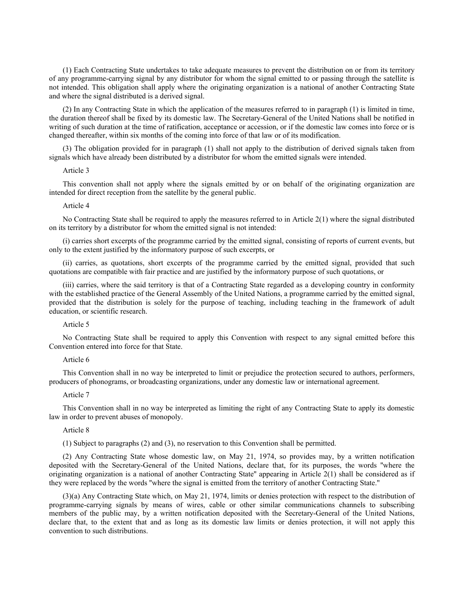(1) Each Contracting State undertakes to take adequate measures to prevent the distribution on or from its territory of any programme-carrying signal by any distributor for whom the signal emitted to or passing through the satellite is not intended. This obligation shall apply where the originating organization is a national of another Contracting State and where the signal distributed is a derived signal.

(2) In any Contracting State in which the application of the measures referred to in paragraph (1) is limited in time, the duration thereof shall be fixed by its domestic law. The Secretary-General of the United Nations shall be notified in writing of such duration at the time of ratification, acceptance or accession, or if the domestic law comes into force or is changed thereafter, within six months of the coming into force of that law or of its modification.

(3) The obligation provided for in paragraph (1) shall not apply to the distribution of derived signals taken from signals which have already been distributed by a distributor for whom the emitted signals were intended.

## Article 3

This convention shall not apply where the signals emitted by or on behalf of the originating organization are intended for direct reception from the satellite by the general public.

#### Article 4

No Contracting State shall be required to apply the measures referred to in Article 2(1) where the signal distributed on its territory by a distributor for whom the emitted signal is not intended:

(i) carries short excerpts of the programme carried by the emitted signal, consisting of reports of current events, but only to the extent justified by the informatory purpose of such excerpts, or

(ii) carries, as quotations, short excerpts of the programme carried by the emitted signal, provided that such quotations are compatible with fair practice and are justified by the informatory purpose of such quotations, or

(iii) carries, where the said territory is that of a Contracting State regarded as a developing country in conformity with the established practice of the General Assembly of the United Nations, a programme carried by the emitted signal, provided that the distribution is solely for the purpose of teaching, including teaching in the framework of adult education, or scientific research.

## Article 5

No Contracting State shall be required to apply this Convention with respect to any signal emitted before this Convention entered into force for that State.

#### Article 6

This Convention shall in no way be interpreted to limit or prejudice the protection secured to authors, performers, producers of phonograms, or broadcasting organizations, under any domestic law or international agreement.

#### Article 7

This Convention shall in no way be interpreted as limiting the right of any Contracting State to apply its domestic law in order to prevent abuses of monopoly.

### Article 8

(1) Subject to paragraphs (2) and (3), no reservation to this Convention shall be permitted.

(2) Any Contracting State whose domestic law, on May 21, 1974, so provides may, by a written notification deposited with the Secretary-General of the United Nations, declare that, for its purposes, the words ''where the originating organization is a national of another Contracting State'' appearing in Article 2(1) shall be considered as if they were replaced by the words ''where the signal is emitted from the territory of another Contracting State.''

(3)(a) Any Contracting State which, on May 21, 1974, limits or denies protection with respect to the distribution of programme-carrying signals by means of wires, cable or other similar communications channels to subscribing members of the public may, by a written notification deposited with the Secretary-General of the United Nations, declare that, to the extent that and as long as its domestic law limits or denies protection, it will not apply this convention to such distributions.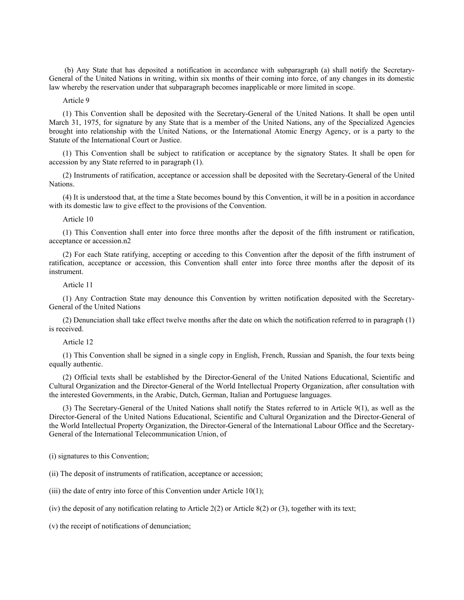(b) Any State that has deposited a notification in accordance with subparagraph (a) shall notify the Secretary-General of the United Nations in writing, within six months of their coming into force, of any changes in its domestic law whereby the reservation under that subparagraph becomes inapplicable or more limited in scope.

Article 9

(1) This Convention shall be deposited with the Secretary-General of the United Nations. It shall be open until March 31, 1975, for signature by any State that is a member of the United Nations, any of the Specialized Agencies brought into relationship with the United Nations, or the International Atomic Energy Agency, or is a party to the Statute of the International Court or Justice.

(1) This Convention shall be subject to ratification or acceptance by the signatory States. It shall be open for accession by any State referred to in paragraph (1).

(2) Instruments of ratification, acceptance or accession shall be deposited with the Secretary-General of the United Nations.

(4) It is understood that, at the time a State becomes bound by this Convention, it will be in a position in accordance with its domestic law to give effect to the provisions of the Convention.

#### Article 10

(1) This Convention shall enter into force three months after the deposit of the fifth instrument or ratification, acceptance or accession.n2

(2) For each State ratifying, accepting or acceding to this Convention after the deposit of the fifth instrument of ratification, acceptance or accession, this Convention shall enter into force three months after the deposit of its instrument.

#### Article 11

(1) Any Contraction State may denounce this Convention by written notification deposited with the Secretary-General of the United Nations

(2) Denunciation shall take effect twelve months after the date on which the notification referred to in paragraph (1) is received.

## Article 12

(1) This Convention shall be signed in a single copy in English, French, Russian and Spanish, the four texts being equally authentic.

(2) Official texts shall be established by the Director-General of the United Nations Educational, Scientific and Cultural Organization and the Director-General of the World Intellectual Property Organization, after consultation with the interested Governments, in the Arabic, Dutch, German, Italian and Portuguese languages.

(3) The Secretary-General of the United Nations shall notify the States referred to in Article 9(1), as well as the Director-General of the United Nations Educational, Scientific and Cultural Organization and the Director-General of the World Intellectual Property Organization, the Director-General of the International Labour Office and the Secretary-General of the International Telecommunication Union, of

(i) signatures to this Convention;

(ii) The deposit of instruments of ratification, acceptance or accession;

(iii) the date of entry into force of this Convention under Article 10(1);

(iv) the deposit of any notification relating to Article 2(2) or Article 8(2) or (3), together with its text;

(v) the receipt of notifications of denunciation;